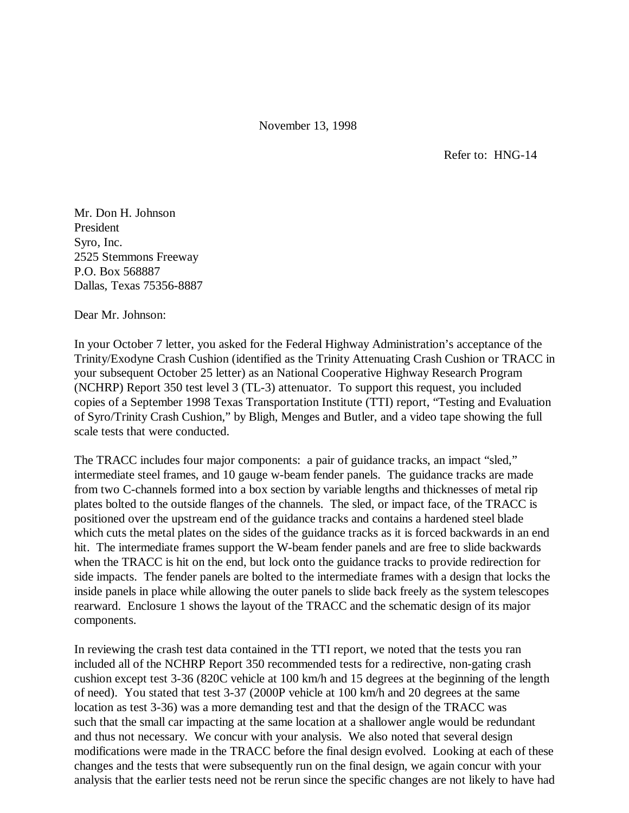November 13, 1998

Refer to: HNG-14

Mr. Don H. Johnson President Syro, Inc. 2525 Stemmons Freeway P.O. Box 568887 Dallas, Texas 75356-8887

Dear Mr. Johnson:

In your October 7 letter, you asked for the Federal Highway Administration's acceptance of the Trinity/Exodyne Crash Cushion (identified as the Trinity Attenuating Crash Cushion or TRACC in your subsequent October 25 letter) as an National Cooperative Highway Research Program (NCHRP) Report 350 test level 3 (TL-3) attenuator. To support this request, you included copies of a September 1998 Texas Transportation Institute (TTI) report, "Testing and Evaluation of Syro/Trinity Crash Cushion," by Bligh, Menges and Butler, and a video tape showing the full scale tests that were conducted.

The TRACC includes four major components: a pair of guidance tracks, an impact "sled," intermediate steel frames, and 10 gauge w-beam fender panels. The guidance tracks are made from two C-channels formed into a box section by variable lengths and thicknesses of metal rip plates bolted to the outside flanges of the channels. The sled, or impact face, of the TRACC is positioned over the upstream end of the guidance tracks and contains a hardened steel blade which cuts the metal plates on the sides of the guidance tracks as it is forced backwards in an end hit. The intermediate frames support the W-beam fender panels and are free to slide backwards when the TRACC is hit on the end, but lock onto the guidance tracks to provide redirection for side impacts. The fender panels are bolted to the intermediate frames with a design that locks the inside panels in place while allowing the outer panels to slide back freely as the system telescopes rearward. Enclosure 1 shows the layout of the TRACC and the schematic design of its major components.

In reviewing the crash test data contained in the TTI report, we noted that the tests you ran included all of the NCHRP Report 350 recommended tests for a redirective, non-gating crash cushion except test 3-36 (820C vehicle at 100 km/h and 15 degrees at the beginning of the length of need). You stated that test 3-37 (2000P vehicle at 100 km/h and 20 degrees at the same location as test 3-36) was a more demanding test and that the design of the TRACC was such that the small car impacting at the same location at a shallower angle would be redundant and thus not necessary. We concur with your analysis. We also noted that several design modifications were made in the TRACC before the final design evolved. Looking at each of these changes and the tests that were subsequently run on the final design, we again concur with your analysis that the earlier tests need not be rerun since the specific changes are not likely to have had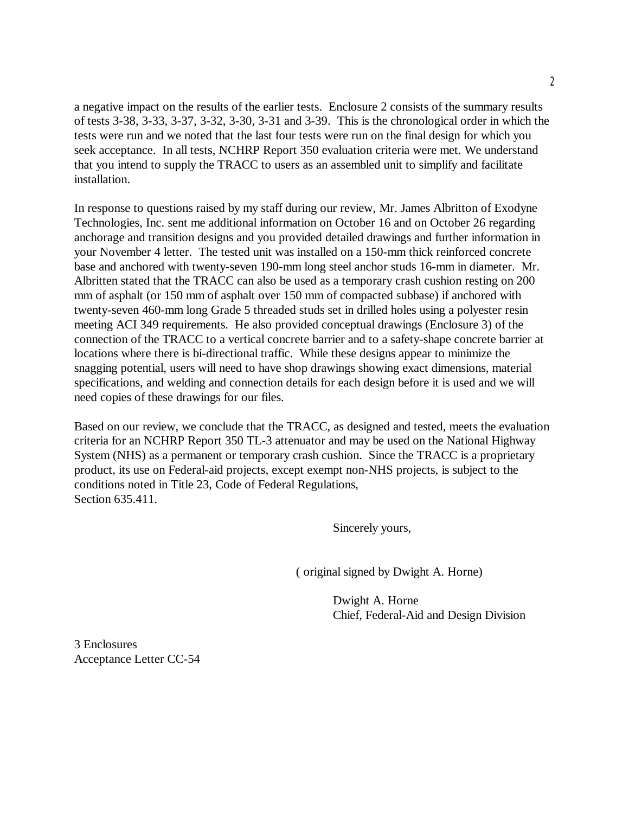a negative impact on the results of the earlier tests. Enclosure 2 consists of the summary results of tests 3-38, 3-33, 3-37, 3-32, 3-30, 3-31 and 3-39. This is the chronological order in which the tests were run and we noted that the last four tests were run on the final design for which you seek acceptance. In all tests, NCHRP Report 350 evaluation criteria were met. We understand that you intend to supply the TRACC to users as an assembled unit to simplify and facilitate installation.

In response to questions raised by my staff during our review, Mr. James Albritton of Exodyne Technologies, Inc. sent me additional information on October 16 and on October 26 regarding anchorage and transition designs and you provided detailed drawings and further information in your November 4 letter. The tested unit was installed on a 150-mm thick reinforced concrete base and anchored with twenty-seven 190-mm long steel anchor studs 16-mm in diameter. Mr. Albritten stated that the TRACC can also be used as a temporary crash cushion resting on 200 mm of asphalt (or 150 mm of asphalt over 150 mm of compacted subbase) if anchored with twenty-seven 460-mm long Grade 5 threaded studs set in drilled holes using a polyester resin meeting ACI 349 requirements. He also provided conceptual drawings (Enclosure 3) of the connection of the TRACC to a vertical concrete barrier and to a safety-shape concrete barrier at locations where there is bi-directional traffic. While these designs appear to minimize the snagging potential, users will need to have shop drawings showing exact dimensions, material specifications, and welding and connection details for each design before it is used and we will need copies of these drawings for our files.

Based on our review, we conclude that the TRACC, as designed and tested, meets the evaluation criteria for an NCHRP Report 350 TL-3 attenuator and may be used on the National Highway System (NHS) as a permanent or temporary crash cushion. Since the TRACC is a proprietary product, its use on Federal-aid projects, except exempt non-NHS projects, is subject to the conditions noted in Title 23, Code of Federal Regulations, Section 635.411.

Sincerely yours,

( original signed by Dwight A. Horne)

Dwight A. Horne Chief, Federal-Aid and Design Division

3 Enclosures Acceptance Letter CC-54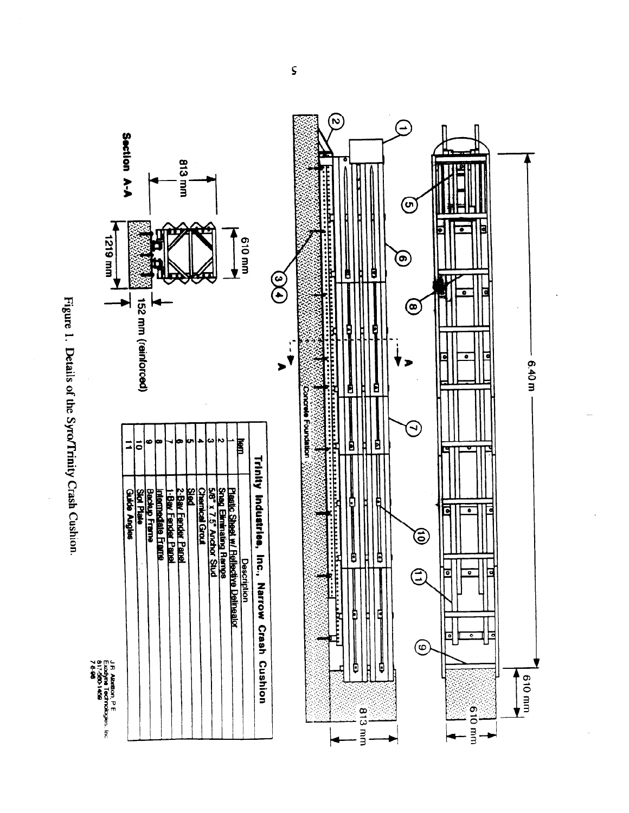

JR Albritton, PE<br>Eudoyna Technologies, Inc<br>7.540<br>7.540



 $\varsigma$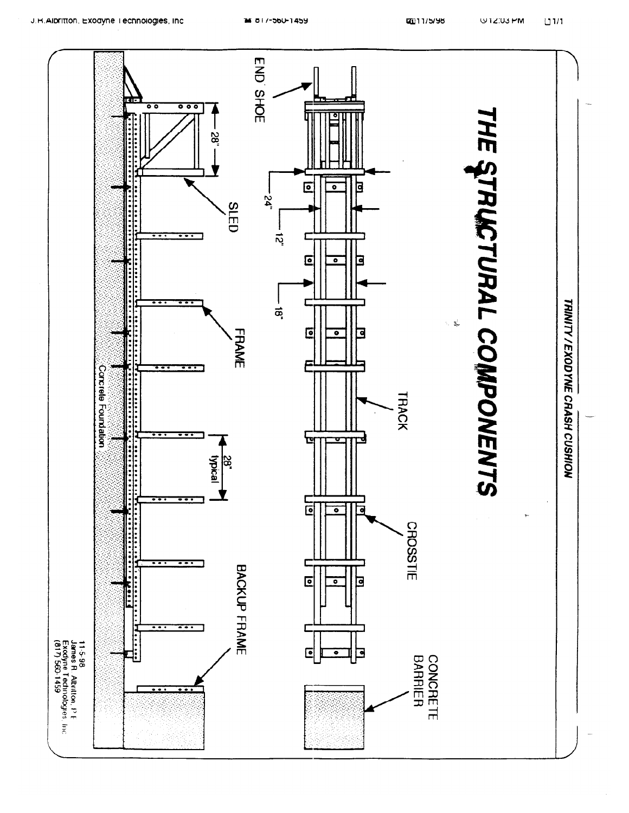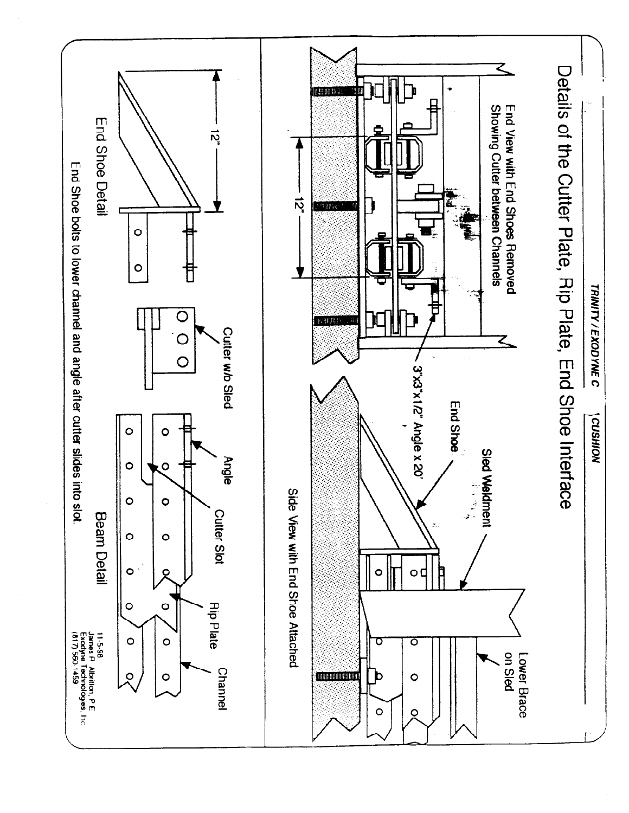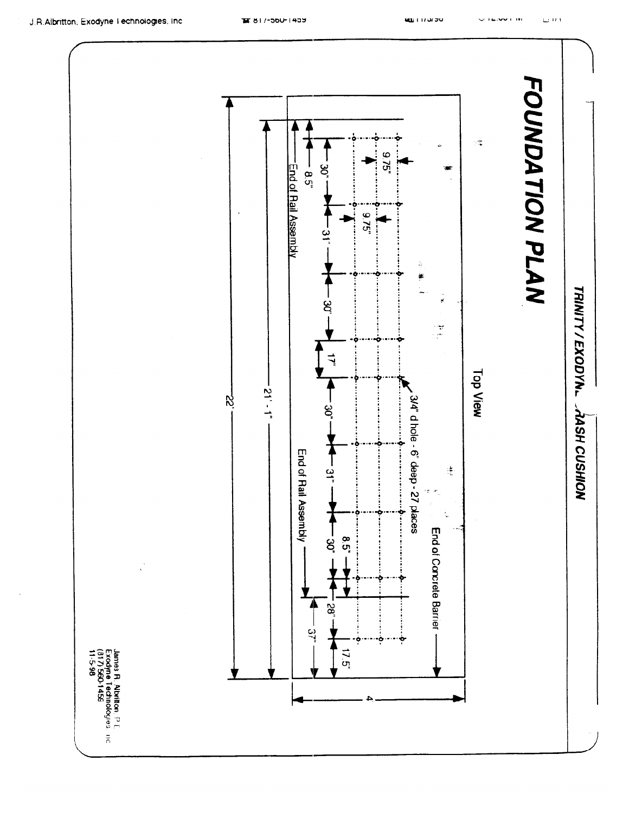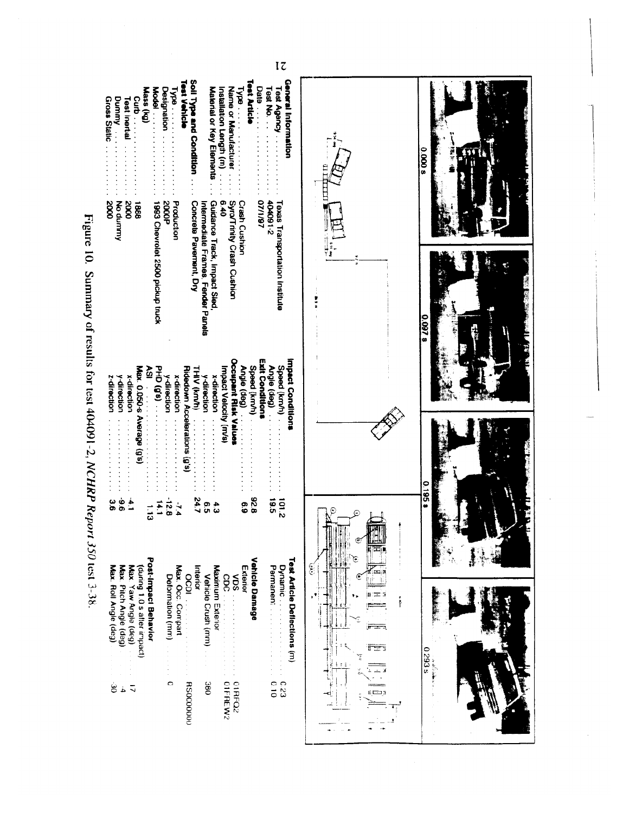| Mass (kg)<br>Gross Static<br>Dummy<br>Curb<br>C<br>Test Inertial<br>Nuuunp ON<br>2000<br>1888<br>2000                                           | Soil Type and Condition.<br>Test Vehicle<br>Material or Key Elements<br><b>Designation</b><br>Model .<br>$\frac{1}{2}$<br>Guidance Track, Impact Sled<br><b>Production</b><br>1993 Chevrolet 2500 pickup truck<br><b>2000P</b><br>Concrete Pavement, Dry<br>Intermediate Frames, Fender Panels                                                                                                                                                           | Test Article<br>General Information<br>Date<br>$\frac{1}{100}$<br>Test Agency<br>Installation Length (m)<br>Name or Manutacturer<br>$1$ ad $\sqrt{1}$<br>0.40<br>2-160P0P<br>Syro/Trinty Crash Cushion<br><b>Crash Cushion</b><br>07/1/87<br>Texas Transportation Institute |        | 0.000.9<br>0.0978 |
|-------------------------------------------------------------------------------------------------------------------------------------------------|----------------------------------------------------------------------------------------------------------------------------------------------------------------------------------------------------------------------------------------------------------------------------------------------------------------------------------------------------------------------------------------------------------------------------------------------------------|-----------------------------------------------------------------------------------------------------------------------------------------------------------------------------------------------------------------------------------------------------------------------------|--------|-------------------|
| Šλ<br>Max. 0.050-s Average (g's)<br>z-direction<br>y direction<br>x-direction                                                                   | PHD (0,9)<br>THIV (km/h)<br>Ridedown Accelerations (g's)<br>x-direction<br>y-direction<br>$\frac{1}{2}$<br>x-direction<br>$\begin{bmatrix} 1 & 0 & 0 \\ 0 & 0 & 0 \\ 0 & 0 & 0 \\ 0 & 0 & 0 \\ 0 & 0 & 0 \\ 0 & 0 & 0 \\ 0 & 0 & 0 & 0 \\ 0 & 0 & 0 & 0 \\ 0 & 0 & 0 & 0 \\ 0 & 0 & 0 & 0 & 0 \\ 0 & 0 & 0 & 0 & 0 \\ 0 & 0 & 0 & 0 & 0 \\ 0 & 0 & 0 & 0 & 0 & 0 \\ 0 & 0 & 0 & 0 & 0 & 0 \\ 0 & 0 & 0 & 0 & 0 & 0 & 0 \\ 0 & 0 & 0 & 0 & 0 & 0 & 0 \\ $ | Occupant Risk Values<br><b>Exit Conditions</b><br>Impact Conditions<br>Speed (kmh)<br>Speed (km/h)<br>Angle (deg)<br>Angle (deg)<br>Impact Velocity (m/s)                                                                                                                   |        | 8 SSI 0           |
| $\frac{6}{9}$<br>$\frac{1}{4}$<br>မ္မ<br>Max. Roll Angle (deg)<br>Max. Pitch Angle (deg)<br>(during 1.0 s atter impact)<br>Max. Yaw Angle (deg) | $-12.8$<br>247<br>7.4<br>$\frac{14.1}{14.1}$<br>$\frac{4}{3}$<br>o<br>S<br>$\vec{u}$<br>Post-Impact Behavior<br>Max. Occ. Compart<br>Maximum Exterior<br>Interior<br>Vehicle Crush (mm)<br>Detormation (mm)<br>8<br>Sp                                                                                                                                                                                                                                   | 826<br>565<br>$\frac{1}{2}$<br>$\frac{6}{6}$<br>Vehicle Damage<br>Test Article Deflections (m)<br>Permanent .<br>Extenor<br>Dynamic<br>SON<br>ဗွိ                                                                                                                           | ြ<br>통 | s £63 0           |
| ڟ<br>á,                                                                                                                                         | c<br><b>380</b><br><b>HS0000000</b>                                                                                                                                                                                                                                                                                                                                                                                                                      | 010<br>OIFREW2<br><b>OIRFO2</b><br>623                                                                                                                                                                                                                                      | وصب    |                   |

 $1\overline{c}$ 

י<br>ז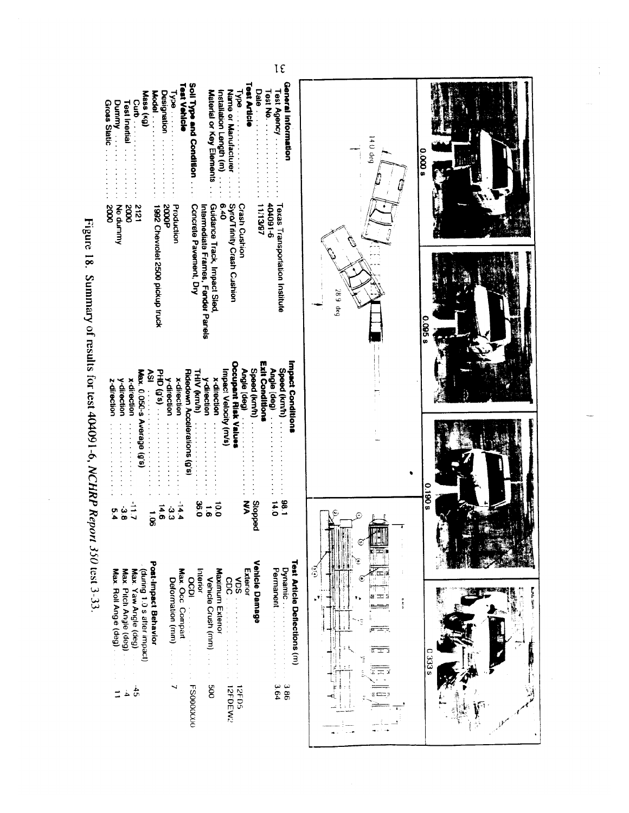| $I\epsilon$                                                                                                                                                                                                                                                                                                                                                                                                                                                                                                                                                                                                                                                                                                                                                                                                                                       |                       |                |
|---------------------------------------------------------------------------------------------------------------------------------------------------------------------------------------------------------------------------------------------------------------------------------------------------------------------------------------------------------------------------------------------------------------------------------------------------------------------------------------------------------------------------------------------------------------------------------------------------------------------------------------------------------------------------------------------------------------------------------------------------------------------------------------------------------------------------------------------------|-----------------------|----------------|
| General Information<br><b>Test Article</b><br>Soil Type and Condition.<br>Test Vehicle<br>Date<br>Test Agency<br>Name or Manufacturer<br>Test No.<br>Designation<br>Material or Key Elements<br>Mass (kg)<br>Installation Length (m)<br>Model<br>$\sqrt{8}$<br>$\frac{1}{2}$<br>Curb.<br>Gross Static<br>Dunmy<br><b>Test Inertial</b><br><b>Crash Cushion</b><br>9-160101<br>Guidance Track, Impact Sled<br>Syro/Trinity Crash Cushion<br>Concrete Pavement, Dry<br>11/13/97<br>6.40<br>Texas Transportation Institute<br>Intermediate Frames, Fender Panels<br>5000 <sub>b</sub><br>Production<br>Nummo <sub>N</sub><br>1212<br>1992 Chevrolet 2500 pickup truck<br>2000<br>0002                                                                                                                                                                | $14.0$ deg<br>0.0008  |                |
| Occupant Risk Values<br><b>Exit Conditions</b><br>Impact Conditions<br>Speed (kmh)<br>Speed (km/h)<br>Angle (deg)<br>Angle (deg)<br>Ridedown Accelerations (g.s.<br>Max. 0.050-s<br>Impact Velocity (m/s)<br>$H = \frac{1}{2}$<br>š<br><b>THIV (km/h)</b><br>x-direction<br>x-direction<br>y-direction<br>y-direction<br>y-direction<br>x-direction<br>z-direction<br>$\frac{1}{2}$<br>Average (g's)<br>$\frac{1}{2}$ , $\frac{1}{2}$ , $\frac{1}{2}$ , $\frac{1}{2}$ , $\frac{1}{2}$ , $\frac{1}{2}$ , $\frac{1}{2}$<br>.<br>$\frac{1}{2}$ $\frac{1}{2}$ $\frac{1}{2}$ $\frac{1}{2}$ $\frac{1}{2}$ $\frac{1}{2}$ $\frac{1}{2}$ $\frac{1}{2}$ $\frac{1}{2}$ $\frac{1}{2}$ $\frac{1}{2}$ $\frac{1}{2}$ $\frac{1}{2}$ $\frac{1}{2}$ $\frac{1}{2}$ $\frac{1}{2}$ $\frac{1}{2}$ $\frac{1}{2}$ $\frac{1}{2}$ $\frac{1}{2}$ $\frac{1}{2}$ $\frac{1}{2}$ | $289$ deg             | <b>0.095 s</b> |
| <b>186</b><br>$\frac{14}{14}$<br>ξ<br><b>peddo<sub>i</sub>S</b><br>$\frac{8}{2}$<br>$\overline{0}$<br>$\overline{9}$<br>4.4<br>م<br>6<br>$\vec{Q}$<br>σ<br>Vehicle Damage<br>Test Article Deflections (m)<br>Post-Impact Behavlor<br>Permanent<br>Dynamic<br>(during 1.0 s after impact)<br>Maximum Exterior<br>Max. Roll Angle (deg)<br>Max. Occ. Compart<br>Interior<br>Exterior<br>Max. Pitch Angle (deg)<br>Max. Yaw Angle (deg)<br>Vehicle Crush (mm)<br>SON<br>Deformation (mm)<br>$\mathbf{C}$<br><b>OCDI</b>                                                                                                                                                                                                                                                                                                                              | آران<br>روا<br>e<br>e | <b>80610</b>   |
| 800<br>9.64<br>98 <sub>C</sub><br><b>FS0000000</b><br>12FD5<br>12FDEW2<br>$\frac{4}{5}$<br>خ                                                                                                                                                                                                                                                                                                                                                                                                                                                                                                                                                                                                                                                                                                                                                      | É                     | 0.333          |

Figure 18. Summary of results for test 404091-6, NCHRP Report 350 test 3-33.

**Burde Spice**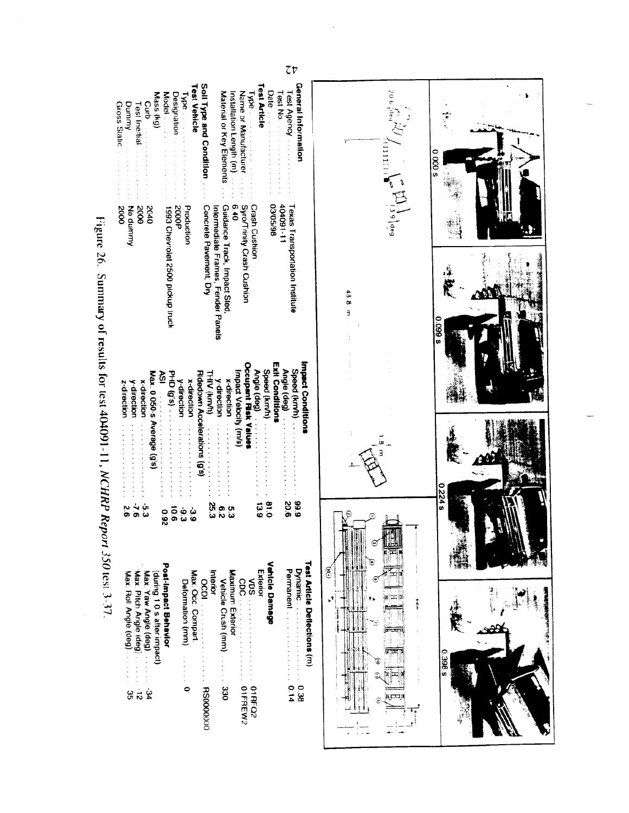| 7 <sub>v</sub>                                                                                                                                                                                                                                                                                                                                                                                                                                                                                                                                                                                                                                                                                                                                                                                                                                                                                                                                                                                                                                                                                                                                                                          |                                                                                                        |                    |
|-----------------------------------------------------------------------------------------------------------------------------------------------------------------------------------------------------------------------------------------------------------------------------------------------------------------------------------------------------------------------------------------------------------------------------------------------------------------------------------------------------------------------------------------------------------------------------------------------------------------------------------------------------------------------------------------------------------------------------------------------------------------------------------------------------------------------------------------------------------------------------------------------------------------------------------------------------------------------------------------------------------------------------------------------------------------------------------------------------------------------------------------------------------------------------------------|--------------------------------------------------------------------------------------------------------|--------------------|
| <b>General Information</b><br><b>Test Article</b><br>Test Vehicle<br>Soil Type and Condition<br>Date in the state of the state of the parties of the property of the parties of the parties of the state of the state of the state of the state of the state of the state of the state of the state of the state of the state<br>Test Agency<br>Name or Manufacturer<br>Test No.<br>Material or Key Elements<br>Installation Length (m)<br>Mass (kg)<br>Designation<br>Model<br>lype.<br>$1$ ype $\sim$<br>Curb<br>Gross Static<br>Dunmy<br>Test Inertial                                                                                                                                                                                                                                                                                                                                                                                                                                                                                                                                                                                                                               | 20.6 deg<br>$\left\{\prod_{i=1}^n\mathbb{E}\left[\prod_{i=1}^n\frac{1}{i}\right]\right\}_{\text{deg}}$ | i<br>V<br>$0000$ s |
| 86/SO/20<br><b>Crash Cushion</b><br>11-160#0#<br>Syro/Trinity Crash Cushion<br>6.40<br>Concrete Pavement, Dry<br>Guidance Track, Impact Sled<br><b>Texas Transportation Institute</b><br>0102<br>0002<br><b>2000P</b><br>Intermediate Frames, Fender Panels<br>No dummy<br>0002<br>1993 Chevrolet 2500 pickup truck<br>Production                                                                                                                                                                                                                                                                                                                                                                                                                                                                                                                                                                                                                                                                                                                                                                                                                                                       | 48.8<br>$\overline{\mathbf{z}}$                                                                        | 8600               |
| Impact Conditions<br><b>Exit Conditions</b><br>Occupant Risk Values<br>Speed (km/h)<br>Speed (km/h)<br>Angle (deg)<br>Angle (deg)<br>Max. 0.050-s<br>Ridedown Accelerations (g's)<br>Ŗδ<br><b>PHD (g's)</b><br>Impact Velocity (m/s)<br><b>THIV (km/h)</b><br>x-direction<br>y-direction<br>y direction<br>x-direction<br>x-direction<br>y-direction<br>z-direction<br>$\begin{bmatrix} 1 & 0 & 0 & 0 \\ 0 & 1 & 0 & 0 \\ 0 & 0 & 0 & 0 \\ 0 & 0 & 0 & 0 \\ 0 & 0 & 0 & 0 \\ 0 & 0 & 0 & 0 \\ 0 & 0 & 0 & 0 \\ 0 & 0 & 0 & 0 & 0 \\ 0 & 0 & 0 & 0 & 0 \\ 0 & 0 & 0 & 0 & 0 \\ 0 & 0 & 0 & 0 & 0 \\ 0 & 0 & 0 & 0 & 0 & 0 \\ 0 & 0 & 0 & 0 & 0 & 0 \\ 0 & 0 & 0 & 0 & 0 & 0 \\ 0 & 0 & 0 & 0 & 0 & $<br>Average (g's)<br>.<br>$-2$ , $-2$ , $-2$ , $-1$ , $-2$<br>.<br>$\frac{1}{2}$ $\frac{1}{2}$ $\frac{1}{2}$ $\frac{1}{2}$ $\frac{1}{2}$ $\frac{1}{2}$ $\frac{1}{2}$ $\frac{1}{2}$ $\frac{1}{2}$ $\frac{1}{2}$ $\frac{1}{2}$ $\frac{1}{2}$ $\frac{1}{2}$ $\frac{1}{2}$ $\frac{1}{2}$ $\frac{1}{2}$ $\frac{1}{2}$ $\frac{1}{2}$ $\frac{1}{2}$ $\frac{1}{2}$ $\frac{1}{2}$ $\frac{1}{2}$<br>$\begin{array}{c} \bullet & \bullet \\ \bullet & \bullet \\ \bullet & \bullet \end{array}$ |                                                                                                        |                    |
| 666<br>90.6<br>0.18<br>25.3<br>651<br>ن<br>ن<br>်<br>()<br>δ,<br>e<br>2<br>$\frac{1}{9}$<br>۵Ľ<br>ė<br>0<br>$\frac{c}{6}$<br><b>Z60</b><br>Exterior<br>Interior                                                                                                                                                                                                                                                                                                                                                                                                                                                                                                                                                                                                                                                                                                                                                                                                                                                                                                                                                                                                                         | ୭<br>ြ                                                                                                 | 0.224 s            |
| <b>Vehicle Damage</b><br>Test Article Deflections (m)<br>Post-Impact Behavlor<br>Permanent<br>Dynamic<br>Maximum Exterior<br>Max. Roll Angle (deg)<br>Max. Pitch Angle (deg)<br>Max. Yaw Angle (deg)<br>(during 1.0 s after impact)<br>Max. Occ. Compart<br>Vehicle Crush (mm)<br>CDC .<br>NDS.<br>OCDI.<br>Detormation (mm)<br>330<br>01FREW2<br>0.14<br>0<br><b>RS0000000</b><br><b>O1RFQ2</b><br>86.0<br>$\frac{1}{\infty}$<br>Ė<br>9g                                                                                                                                                                                                                                                                                                                                                                                                                                                                                                                                                                                                                                                                                                                                               | ŝ<br>ł.                                                                                                | <b>S</b> 966.0     |

 $\ddot{\phantom{a}}$ 

Figure 26. Summary of results for test 404091-11,  $NCHRP$  Report 350 test 3-37.

Gross Static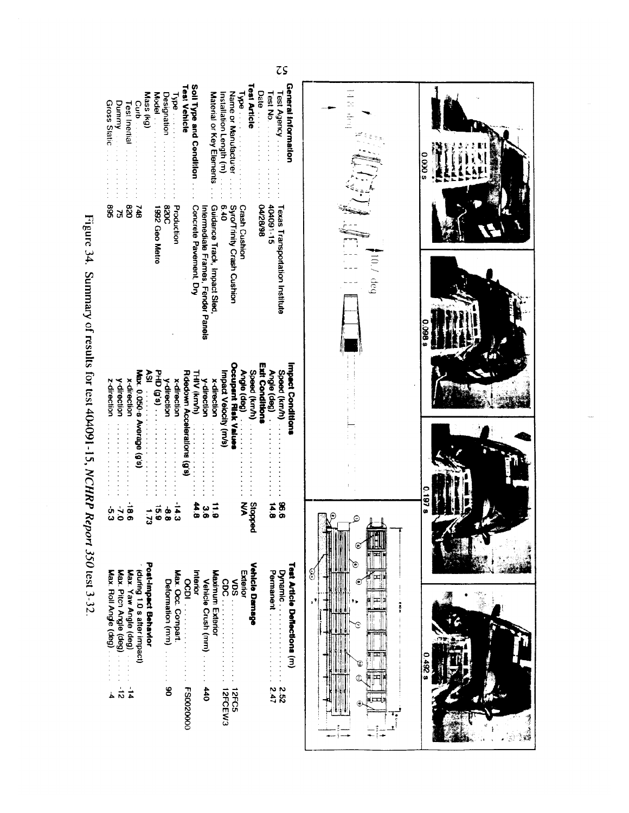| $\zeta$                                                                                                                                                                                                                                                                                                                                                                                                                                                                                                                                                                                                                                                                                                    |                                                 |                            |
|------------------------------------------------------------------------------------------------------------------------------------------------------------------------------------------------------------------------------------------------------------------------------------------------------------------------------------------------------------------------------------------------------------------------------------------------------------------------------------------------------------------------------------------------------------------------------------------------------------------------------------------------------------------------------------------------------------|-------------------------------------------------|----------------------------|
| <b>Test Article</b><br><b>General Information</b><br>Soil Type and Condition<br><b>Test Vehicle</b><br>Date<br>Test Agency<br>Test No.<br>Mass (kg)<br>Material or Key Elements<br>Installation Length (m)<br>Name or Manutacturer<br>Model .<br>$1$ ype $\cdot$ .<br>Designation<br>$1$ ype $\ldots$<br>Gross Static<br>Dummy<br>Curb<br><b>Test Inertial</b><br>Production<br>404091-15<br>04/28/98<br>028<br><b>320CB</b><br>Concrete Pavement, Dry<br>$0*9$<br>Syro/Trinity Crash Cushion<br><b>Crash Cushion</b><br>Guidance Track, Impact Sled<br><b>Texas Transportation Institute</b><br>569<br>1992 Geo Metro<br>748<br>Intermediate Frames, Fender Panels<br>ă                                   | 日本 けい<br>i deg                                  | $0.000$ s<br>$960^{\circ}$ |
| Occupant Risk Value<br>Exit Conditions<br><b>Impact Conditions</b><br>Speed (km/h)<br>Max. 0.050-s Average (g's)<br>Speed (km/h) .<br>Angle (deg)<br>HID(0,s)<br>Ridedown Accelerations (g's)<br>THIV (km/h)<br>Š<br>mpact Velocity (m/s)<br>Angle (geg)<br>x-direction<br>x-direction<br>y-direction<br>y-direction<br>y-direction<br>x-direction<br>z-direction<br>$\ddot{\cdot}$ $\ddot{\cdot}$ $\ddot{\cdot}$ $\ddot{\cdot}$ $\ddot{\cdot}$ $\ddot{\cdot}$<br>$\frac{1}{2}$ , $\frac{1}{2}$ , $\frac{1}{2}$ , $\frac{1}{2}$ , $\frac{1}{2}$ , $\frac{1}{2}$<br>9.96<br><b>Peddong</b><br>14.8<br>ξ<br>44.8<br>$\frac{1}{6}$<br>မ္မ<br>الم<br>14: 2<br>ლ<br>ი<br>ិ<br>ទ<br>ن<br>20<br>စ်<br>စ<br>n<br>6 | ٦<br>Q                                          | 0.1978                     |
| Post-Impact Behavlor<br><b>Vehicle Damage</b><br>Test Article Deflections (m)<br>Max. Pitch Angle (deg)<br>Max. Yaw Angle (deg)<br>during 1.0 s after impact)<br>Max. Roll Angle (deg)<br>Max. Occ. Compart.<br>Permanent<br>Dynamic<br>Interior<br><b>Maximum Exterio</b><br>Exterior<br><b>OCDI</b><br>Vehicle Crush (mm) .<br>Deformation (mm)<br>SON<br>cpc<br>$\frac{1}{4}$<br>440<br><b>FS0020000</b><br>$\frac{1}{2}$<br>8<br>22.47<br>12FCEW3<br>12FC5<br>خ                                                                                                                                                                                                                                        | 3<br>€<br>$\blacksquare$<br>š<br>C<br>in E<br>⊝ | 82670<br>١                 |

L

Figure 34. Summary of results for test 404091-15,  $NCHRP$  Report 350 test 3-32.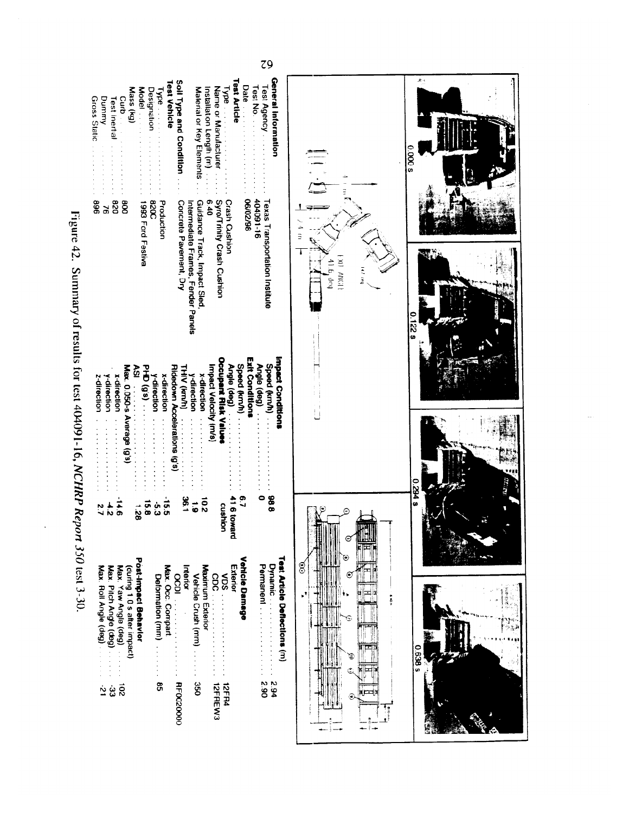| Figure 42. Summary of results for test 404091-16, NCHRP Report 350 test 3-30 |
|------------------------------------------------------------------------------|
|                                                                              |
|                                                                              |
|                                                                              |



 $79$ 

Trin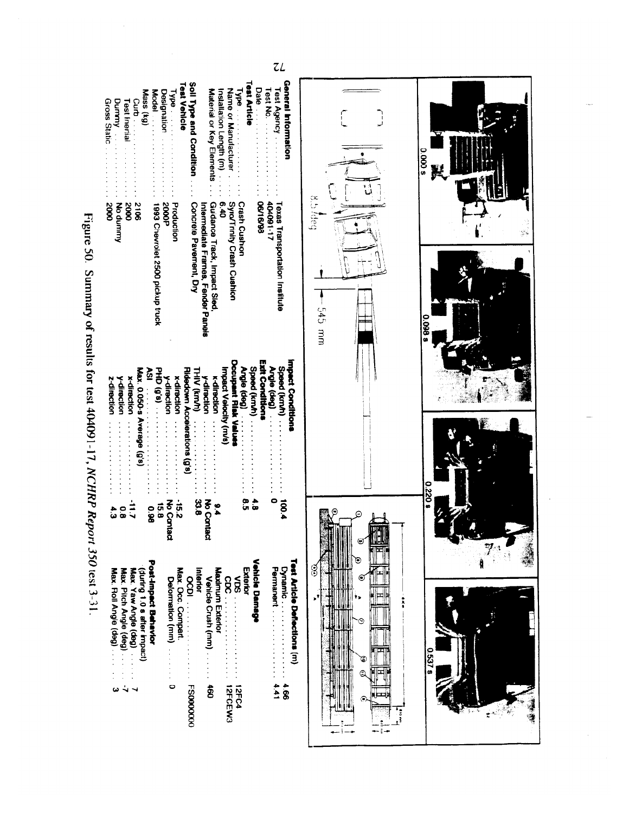| 7L                                                                                                                                                                                                                                                                                                                                                                                                                                                                                                                                                                                                                                                                                                                          |                                          |                        |
|-----------------------------------------------------------------------------------------------------------------------------------------------------------------------------------------------------------------------------------------------------------------------------------------------------------------------------------------------------------------------------------------------------------------------------------------------------------------------------------------------------------------------------------------------------------------------------------------------------------------------------------------------------------------------------------------------------------------------------|------------------------------------------|------------------------|
| <b>Test Article</b><br>General Information<br>Soil Type and Condition<br><b>Test Vehicle</b><br>Test Agency<br>Date<br>Name or Manutacturer<br>Test No.<br>Material or Key Elements<br>Installation Length (m)<br>Mass (kg)<br>Model<br><b>Designation</b><br>$M_{\rm BH}$<br>M<br>Gross Static<br>Dummy and<br>Curb<br>Curb<br>Test Inertial<br><b>Crash Cushion</b><br>11-180101<br>Syro/Trinity Crash Cushion<br>06/16/98<br>Production<br><b>Texas Transportation Institute</b><br><b>50005</b><br>Guidance Track, Impact Sled<br>0.40<br><b>S106</b><br>Concrete Pavement, Dry<br>No dummy<br><b>2000</b><br>Intermediate Frames, Fender Panels<br>2000<br>1993 Chevrolet 2500 pickup truck                            | 8.5 Adeg<br>545 mm                       | $0.000$ s<br>$0.099$ s |
| Example Solution of results for test 404091-17. NCHRP Report 350 test 3-31.<br><b>Impact Conditions</b><br><b>Occupant Risk Valuer</b><br>Exit Conditions<br>Speed (km/h)<br>Speed (kmh) .<br><b>(Bep)</b> elBuy<br>Max. 0.050-s Average (g's)<br>PHO(0,0)<br>ξŠ<br>Ridedown Accelerations (g's)<br>Angle (deg)<br><b>THIV (km/h)</b><br>mpact Velocity (m/s)<br><b>v-direction</b><br>x-direction<br>y-direction<br>x-direction<br><b>K-direction</b><br>y-direction<br>z-direction<br>$\ddot{\phantom{a}}$                                                                                                                                                                                                                |                                          | 0.220                  |
| 2.51<br>33.8<br>စ<br>ဂ<br>0<br>4.8<br>100.4<br>ट<br>२०<br>No Contact<br>$\frac{6}{5}$<br>$\frac{1}{9}$<br><b>960</b><br>4.3<br>o<br>G<br>ontact                                                                                                                                                                                                                                                                                                                                                                                                                                                                                                                                                                             | n,<br>$\mathbf{\Theta}$<br>е<br>3        |                        |
| <b>Vehicle Damage</b><br>Test Article Deflections (m)<br>Post-Impact Behavior<br>Permanent<br>$\sum_{i=1}^{n}$<br>Max. Occ. Compart.<br>Maximum Exterior<br>Exterior<br>Interior<br>(during 1.0 s after impact)<br>Max. Yaw Angle (deg)<br>Max. Roll Angle (deg)<br>Max. Pitch Angle (deg)<br>$\overline{\phantom{0}}$<br>Vehicle Crush (mm)<br>Solid Solid Solid Solid Solid Solid Solid Solid Solid Solid Solid Solid Solid Solid Solid Solid Solid Solid Solid Solid Solid Solid Solid Solid Solid Solid Solid Solid Solid Solid Solid Solid Solid Solid Solid Solid Solid<br>Delormation (mm)<br>$\frac{1}{2}$<br><b>FS0000000</b><br>$\ddot{\mathbf{g}}$<br>4.41<br>$\bullet$<br>$99*$<br>12FCEW3<br><b>12FC4</b><br>ω | Ξ<br>$\mathbf{r}^*$<br>å<br>C<br>٥<br>٦, | <b>0 537 8</b><br>ż    |

도급

 $\mathbf{r}$ 

÷

ÿ4

 $\frac{1}{2}$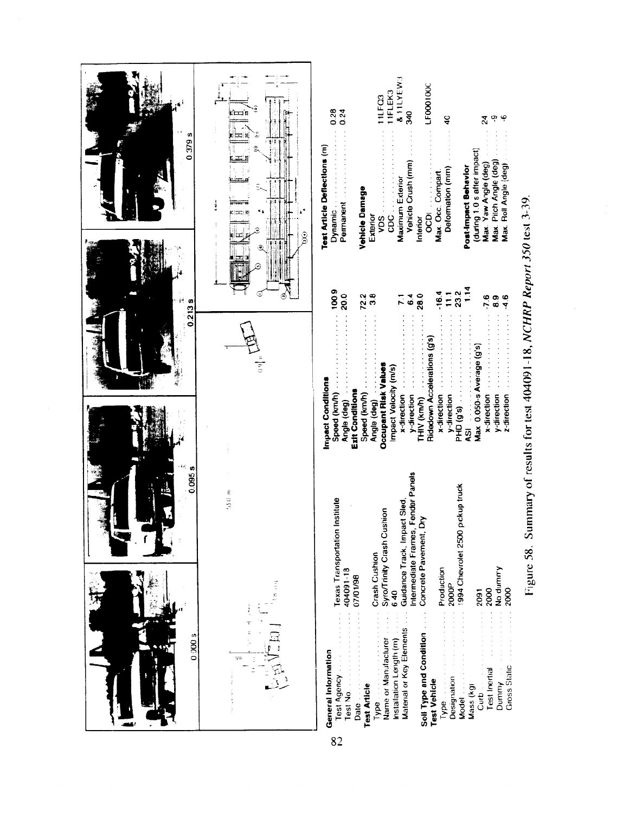

Figure 58. Summary of results for test 404091-18, NCHRP Report 350 test 3-39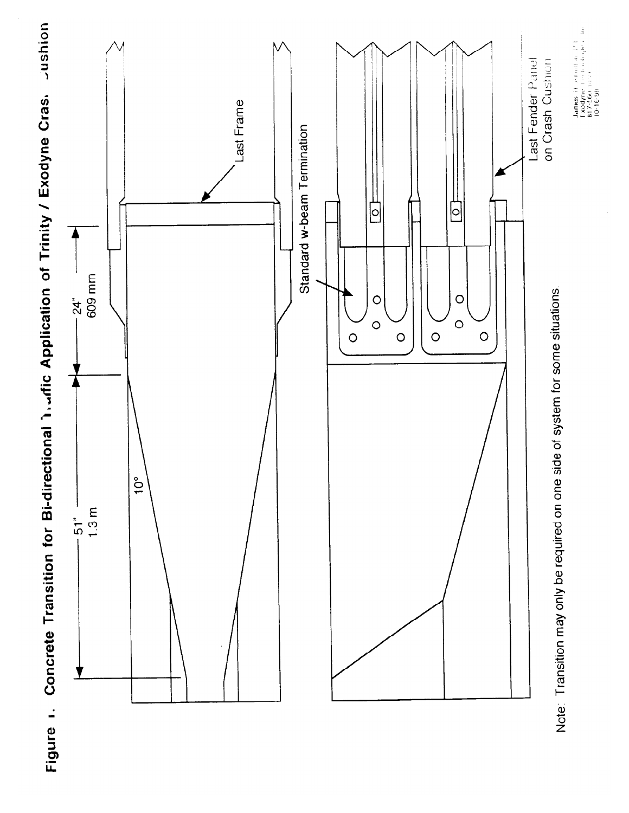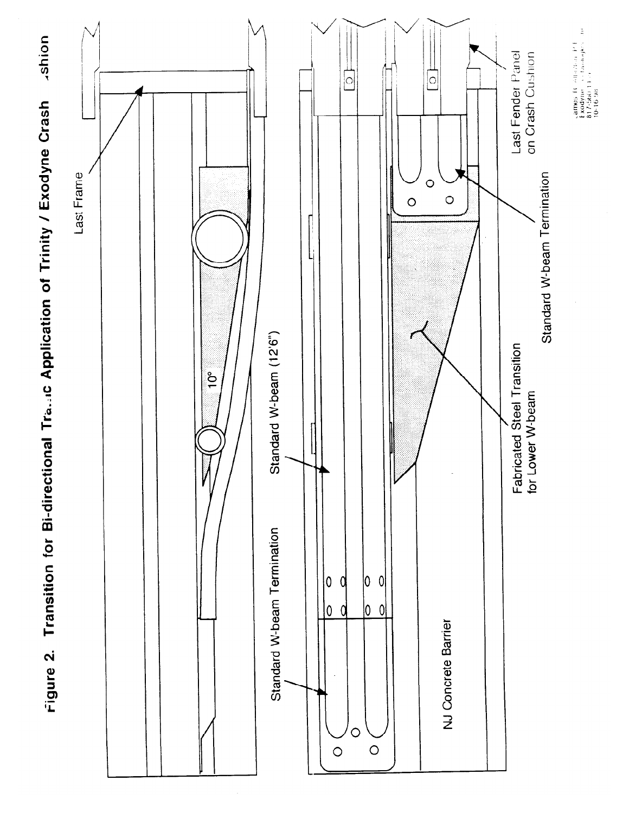

Figure 2. Transition for Bi-directional Transic Application of Trinity / Exodyne Crash

James H. Altarbar P.E.<br>Exodyne To Choopes The<br>817-560 14 P.<br>10-16-98